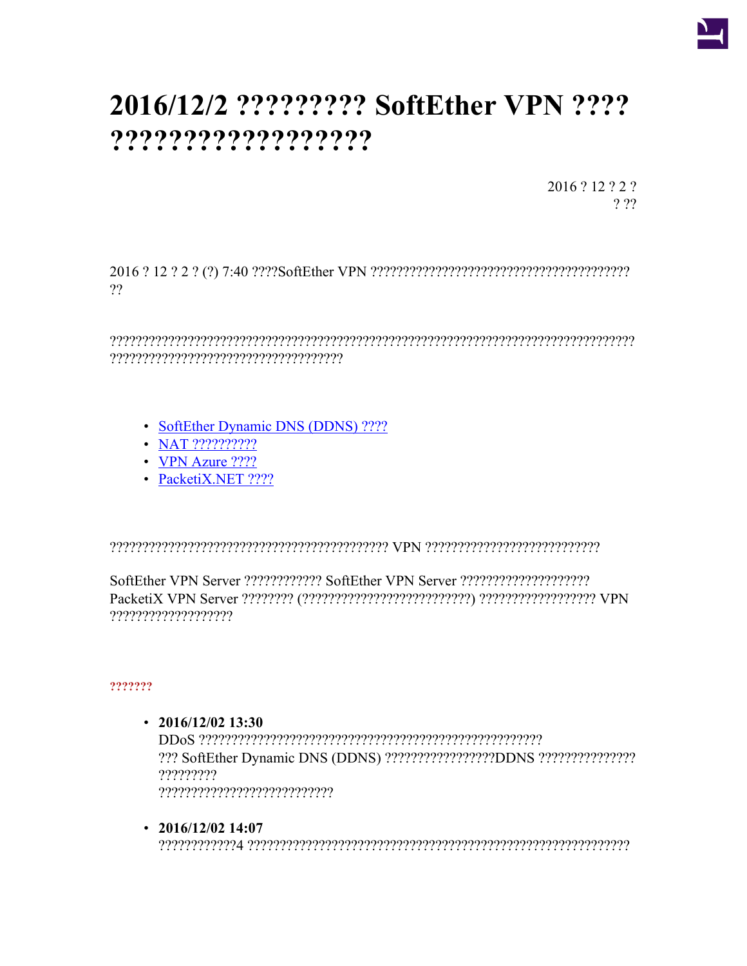

# 2016/12/2 ?????????? SoftEther VPN ???? ???????????????????

2016? 12? 2?  $222$ 

??

- SoftEther Dynamic DNS (DDNS) ????
- $\bullet$  NAT ???????????
- VPN Azure  $????$
- PacketiX.NET ????

,,,,,,,,,,,,,,,,,,,,,,,

# ???????

- $\cdot$  2016/12/02 13:30 ?????????  $? ? ? ? ? ? ? ? ? ? ? ? ? ? ? ? ? ? ? ? ? ? ? ? ? ?$
- $\cdot$  2016/12/02 14:07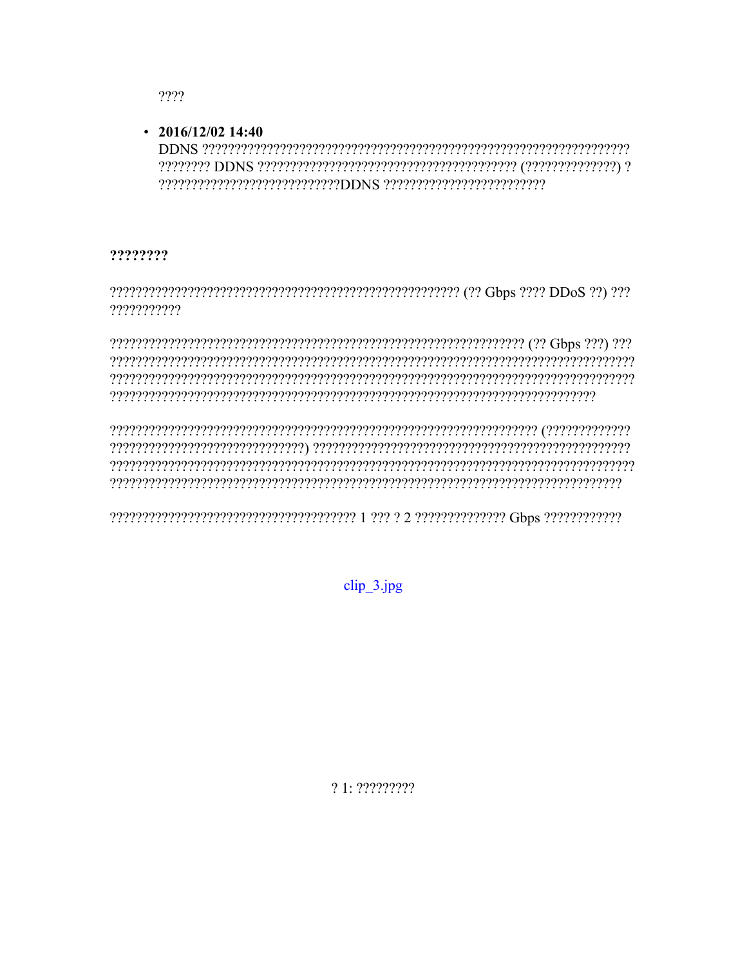$2222$ 

## $\cdot$  2016/12/02 14:40

## ????????

???????????

clip 3.jpg

 $21.222222$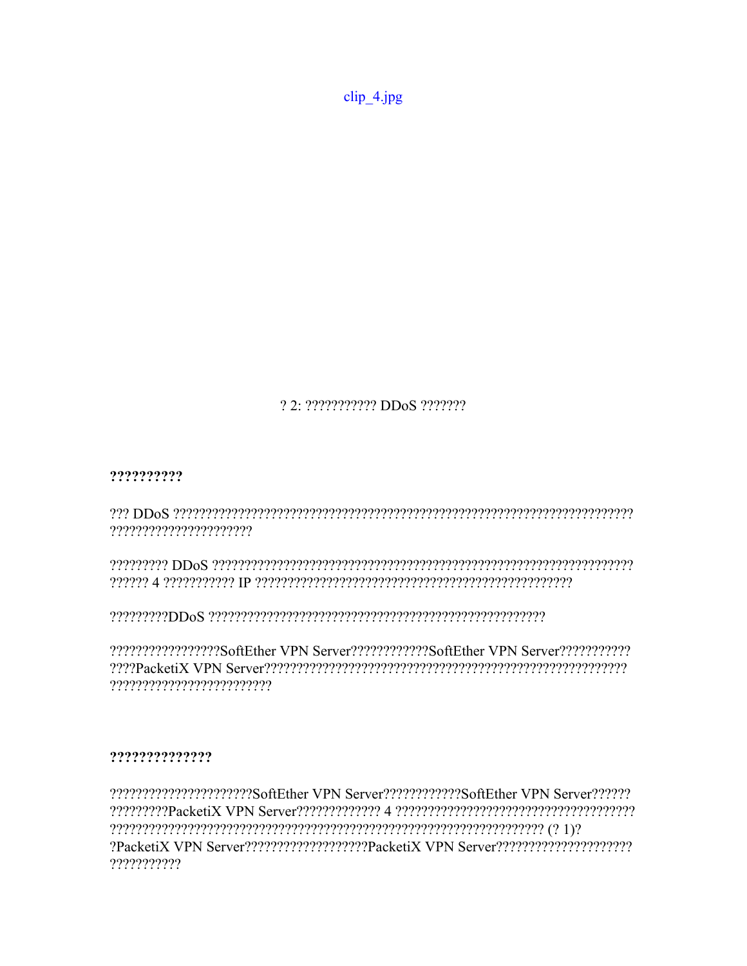clip\_4.jpg

22.22222222222 DDoS

## ??????????

recepted to DOS control the control of the control of the control of the control of the control of the control o ??????????????????????

reserved brown and the consequence of the consequence of the consequence consequence consequence of the consequence of the consequence of the consequence of the consequence of the consequence of the consequence of the cons 

?????????????????SoftEther VPN Server???????????SoftEther VPN Server???????????? 

# ??????????????

22222222222222222222230ftEther VPN Server22222222222250ftEther VPN Server222222 ???????????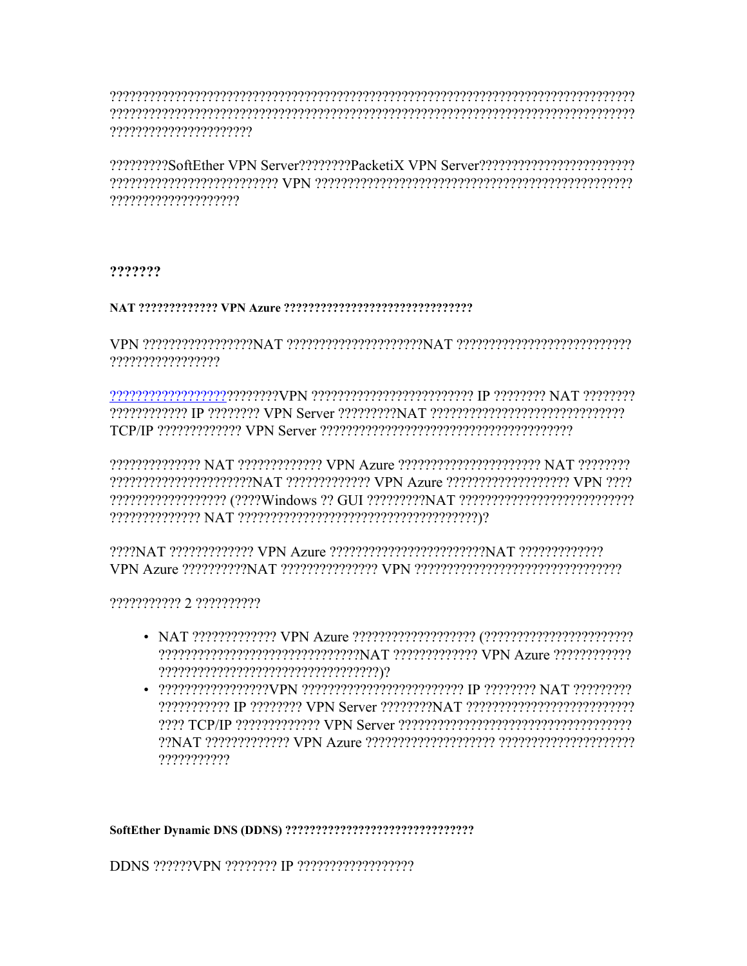, energenengen ergebeteren er en en der antikelen er en den en der energenengen en der energenengen ergenengen reserverenen erreserrentaren alternational erreta erreta erreta elago erreta erreta erreta erreta erreta erret 

?????????SoftEther VPN Server???????PacketiX VPN Server????????????????????????? ????????????????????

#### ???????

#### 

VPN 222222222222223777777NAT 2222222222222234AT 222222222222222222222222222222222 ?????????????????

PRINTED IT AND THE SERVER THROUGHT AT THE CONTROL SERVER SERVER SERVER AT THE CONTROL OF THE SERVER SERVER SERVER SERVER SERVER SERVER SERVER SERVER SERVER SERVER SERVER SERVER SERVER SERVER SERVER SERVER SERVER SERVER SER 

??????????????? NAT ????????????? VPN Azure ??????????????????????? NAT ???????? ??????????????????????NAT ???????????? VPN Azure ????????????????????? VPN ???? 

#### ??????????? 2 ??????????

- 
- $\bullet$  222222222222222222000 or  $\mu$  and  $\mu$  and  $\mu$  and  $\mu$  and  $\mu$  and  $\mu$  and  $\mu$  and  $\mu$  and  $\mu$ ???????????

DDNS ??????VPN ???????? IP ???????????????????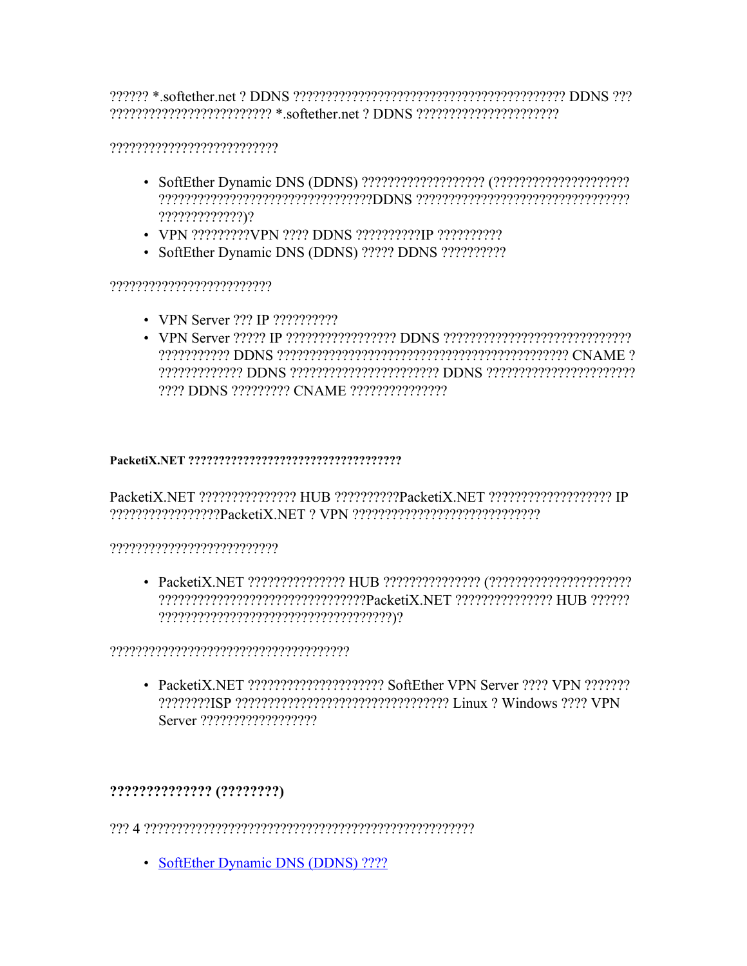representing the correction of the correct of the correct of the correct of the correct of the correct of the c

# 

- $?????????????)?$
- VPN ?????????VPN ???? DDNS ??????????IP ???????????
- SoftEther Dynamic DNS (DDNS) ????? DDNS ??????????

# 

- VPN Server ??? IP ??????????
- 2222 DDNS 222222222 CNAME 22222222222222

# 

PacketiX.NET ???????????????? HUB ??????????PacketiX.NET ??????????????????? IP representational community and the control of the control of the control of the control of the control of the c

# 

????????????????????????????????PacketiX.NET ?????????????? HUB ?????? 

• PacketiX.NET ?????????????????????? SoftEther VPN Server ???? VPN ??????? 7777779791SP ?????????????????????????????????? Linux ? Windows ???? VPN 

# ?????????????? (????????)

• SoftEther Dynamic DNS (DDNS) ????